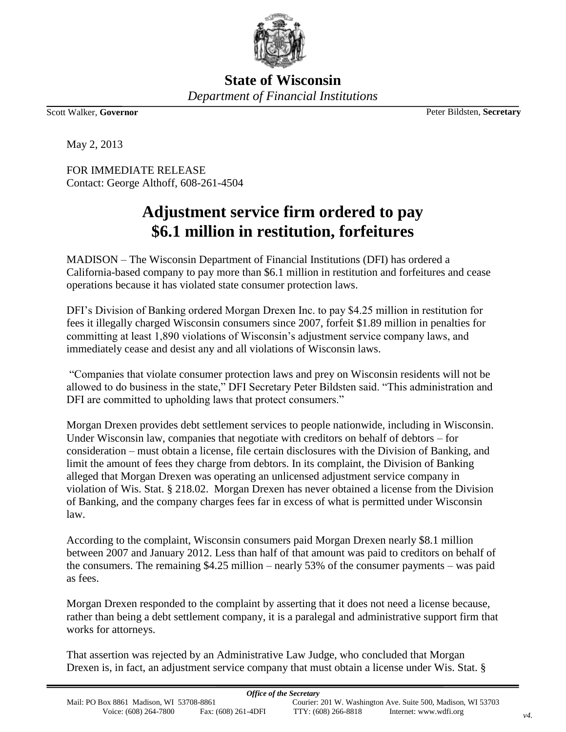

**State of Wisconsin** *Department of Financial Institutions*

Scott Walker, **Governor** Peter Bildsten, **Secretary**

May 2, 2013

FOR IMMEDIATE RELEASE Contact: George Althoff, 608-261-4504

## **Adjustment service firm ordered to pay \$6.1 million in restitution, forfeitures**

MADISON – The Wisconsin Department of Financial Institutions (DFI) has ordered a California-based company to pay more than \$6.1 million in restitution and forfeitures and cease operations because it has violated state consumer protection laws.

DFI's Division of Banking ordered Morgan Drexen Inc. to pay \$4.25 million in restitution for fees it illegally charged Wisconsin consumers since 2007, forfeit \$1.89 million in penalties for committing at least 1,890 violations of Wisconsin's adjustment service company laws, and immediately cease and desist any and all violations of Wisconsin laws.

"Companies that violate consumer protection laws and prey on Wisconsin residents will not be allowed to do business in the state," DFI Secretary Peter Bildsten said. "This administration and DFI are committed to upholding laws that protect consumers."

Morgan Drexen provides debt settlement services to people nationwide, including in Wisconsin. Under Wisconsin law, companies that negotiate with creditors on behalf of debtors – for consideration – must obtain a license, file certain disclosures with the Division of Banking, and limit the amount of fees they charge from debtors. In its complaint, the Division of Banking alleged that Morgan Drexen was operating an unlicensed adjustment service company in violation of Wis. Stat. § 218.02. Morgan Drexen has never obtained a license from the Division of Banking, and the company charges fees far in excess of what is permitted under Wisconsin law.

According to the complaint, Wisconsin consumers paid Morgan Drexen nearly \$8.1 million between 2007 and January 2012. Less than half of that amount was paid to creditors on behalf of the consumers. The remaining \$4.25 million – nearly 53% of the consumer payments – was paid as fees.

Morgan Drexen responded to the complaint by asserting that it does not need a license because, rather than being a debt settlement company, it is a paralegal and administrative support firm that works for attorneys.

That assertion was rejected by an Administrative Law Judge, who concluded that Morgan Drexen is, in fact, an adjustment service company that must obtain a license under Wis. Stat. §